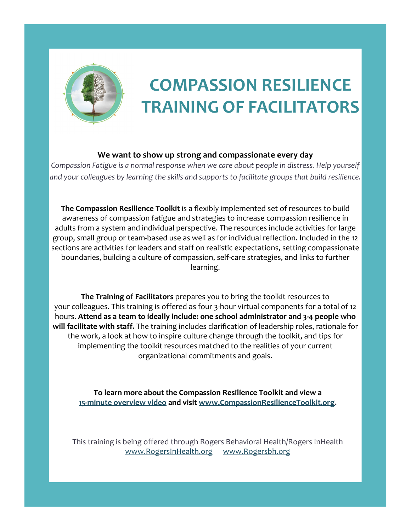

## **COMPASSION RESILIENCE TRAINING OF FACILITATORS**

## **We want to show up strong and compassionate every day**

*Compassion Fatigue is a normal response when we care about people in distress. Help yourself and your colleagues by learning the skills and supports to facilitate groups that build resilience.*

**The Compassion Resilience Toolkit** is a flexibly implemented set of resources to build awareness of compassion fatigue and strategies to increase compassion resilience in adults from a system and individual perspective. The resources include activities for large group, small group or team-based use as well as for individual reflection. Included in the 12 sections are activities for leaders and staff on realistic expectations, setting compassionate boundaries, building a culture of compassion, self-care strategies, and links to further learning.

**The Training of Facilitators** prepares you to bring the toolkit resources to your colleagues. This training is offered as four 3-hour virtual components for a total of 12 hours. **Attend as a team to ideally include: one school administrator and 3-4 people who will facilitate with staff.** The training includes clarification of leadership roles, rationale for the work, a look at how to inspire culture change through the toolkit, and tips for implementing the toolkit resources matched to the realities of your current organizational commitments and goals.

**To learn more about the Compassion Resilience Toolkit and view a [15-minute overview video](https://youtu.be/9SDzucDsXNw) and visit [www.CompassionResilienceToolkit.org.](http://www.compassionresiliencetoolkit.org/)**

This training is being offered through Rogers Behavioral Health/Rogers InHealth [www.RogersInHealth.org](http://www.rogersinhealth.org/) [www.Rogersbh.org](http://www.rogersbh.org/)